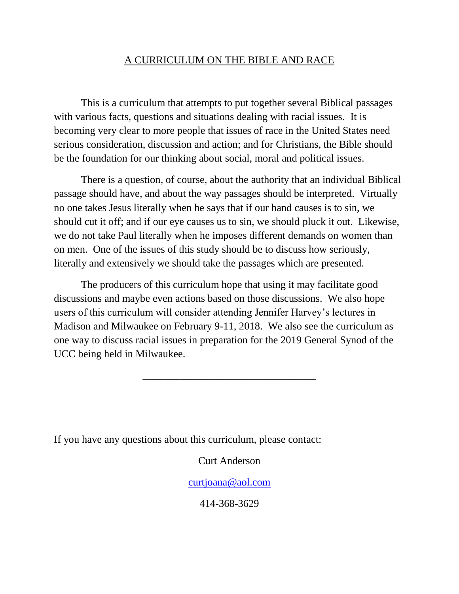# A CURRICULUM ON THE BIBLE AND RACE

This is a curriculum that attempts to put together several Biblical passages with various facts, questions and situations dealing with racial issues. It is becoming very clear to more people that issues of race in the United States need serious consideration, discussion and action; and for Christians, the Bible should be the foundation for our thinking about social, moral and political issues.

There is a question, of course, about the authority that an individual Biblical passage should have, and about the way passages should be interpreted. Virtually no one takes Jesus literally when he says that if our hand causes is to sin, we should cut it off; and if our eye causes us to sin, we should pluck it out. Likewise, we do not take Paul literally when he imposes different demands on women than on men. One of the issues of this study should be to discuss how seriously, literally and extensively we should take the passages which are presented.

The producers of this curriculum hope that using it may facilitate good discussions and maybe even actions based on those discussions. We also hope users of this curriculum will consider attending Jennifer Harvey's lectures in Madison and Milwaukee on February 9-11, 2018. We also see the curriculum as one way to discuss racial issues in preparation for the 2019 General Synod of the UCC being held in Milwaukee.

\_\_\_\_\_\_\_\_\_\_\_\_\_\_\_\_\_\_\_\_\_\_\_\_\_\_\_\_\_\_\_\_\_

If you have any questions about this curriculum, please contact:

## Curt Anderson

## [curtjoana@aol.com](mailto:curtjoana@aol.com)

414-368-3629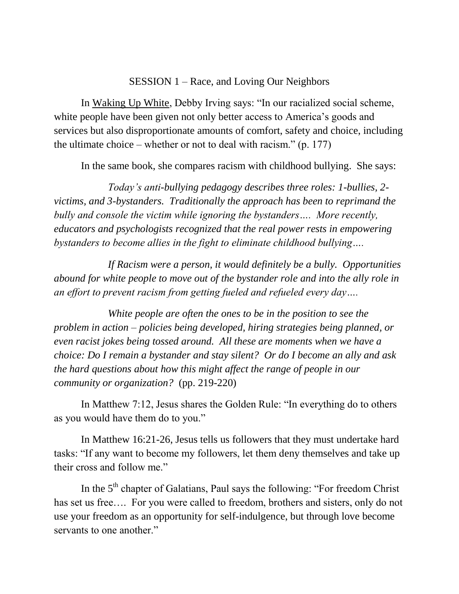### SESSION 1 – Race, and Loving Our Neighbors

In Waking Up White, Debby Irving says: "In our racialized social scheme, white people have been given not only better access to America's goods and services but also disproportionate amounts of comfort, safety and choice, including the ultimate choice – whether or not to deal with racism."  $(p. 177)$ 

In the same book, she compares racism with childhood bullying. She says:

*Today's anti-bullying pedagogy describes three roles: 1-bullies, 2 victims, and 3-bystanders. Traditionally the approach has been to reprimand the bully and console the victim while ignoring the bystanders…. More recently, educators and psychologists recognized that the real power rests in empowering bystanders to become allies in the fight to eliminate childhood bullying….*

*If Racism were a person, it would definitely be a bully. Opportunities abound for white people to move out of the bystander role and into the ally role in an effort to prevent racism from getting fueled and refueled every day….* 

*White people are often the ones to be in the position to see the problem in action – policies being developed, hiring strategies being planned, or even racist jokes being tossed around. All these are moments when we have a choice: Do I remain a bystander and stay silent? Or do I become an ally and ask the hard questions about how this might affect the range of people in our community or organization?* (pp. 219-220)

In Matthew 7:12, Jesus shares the Golden Rule: "In everything do to others as you would have them do to you."

In Matthew 16:21-26, Jesus tells us followers that they must undertake hard tasks: "If any want to become my followers, let them deny themselves and take up their cross and follow me."

In the 5<sup>th</sup> chapter of Galatians, Paul says the following: "For freedom Christ" has set us free…. For you were called to freedom, brothers and sisters, only do not use your freedom as an opportunity for self-indulgence, but through love become servants to one another."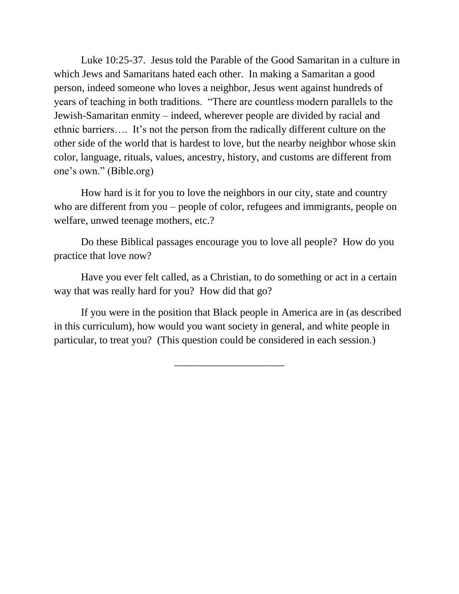Luke 10:25-37. Jesus told the Parable of the Good Samaritan in a culture in which Jews and Samaritans hated each other. In making a Samaritan a good person, indeed someone who loves a neighbor, Jesus went against hundreds of years of teaching in both traditions. "There are countless modern parallels to the Jewish-Samaritan enmity – indeed, wherever people are divided by racial and ethnic barriers…. It's not the person from the radically different culture on the other side of the world that is hardest to love, but the nearby neighbor whose skin color, language, rituals, values, ancestry, history, and customs are different from one's own." (Bible.org)

How hard is it for you to love the neighbors in our city, state and country who are different from you – people of color, refugees and immigrants, people on welfare, unwed teenage mothers, etc.?

Do these Biblical passages encourage you to love all people? How do you practice that love now?

Have you ever felt called, as a Christian, to do something or act in a certain way that was really hard for you? How did that go?

If you were in the position that Black people in America are in (as described in this curriculum), how would you want society in general, and white people in particular, to treat you? (This question could be considered in each session.)

\_\_\_\_\_\_\_\_\_\_\_\_\_\_\_\_\_\_\_\_\_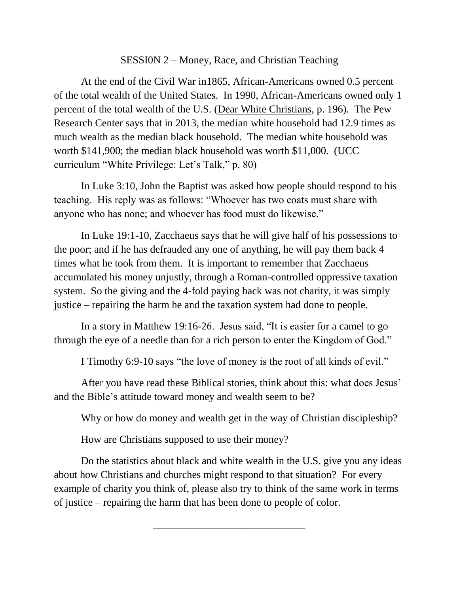### SESSI0N 2 – Money, Race, and Christian Teaching

At the end of the Civil War in1865, African-Americans owned 0.5 percent of the total wealth of the United States. In 1990, African-Americans owned only 1 percent of the total wealth of the U.S. (Dear White Christians, p. 196). The Pew Research Center says that in 2013, the median white household had 12.9 times as much wealth as the median black household. The median white household was worth \$141,900; the median black household was worth \$11,000. (UCC curriculum "White Privilege: Let's Talk," p. 80)

In Luke 3:10, John the Baptist was asked how people should respond to his teaching. His reply was as follows: "Whoever has two coats must share with anyone who has none; and whoever has food must do likewise."

In Luke 19:1-10, Zacchaeus says that he will give half of his possessions to the poor; and if he has defrauded any one of anything, he will pay them back 4 times what he took from them. It is important to remember that Zacchaeus accumulated his money unjustly, through a Roman-controlled oppressive taxation system. So the giving and the 4-fold paying back was not charity, it was simply justice – repairing the harm he and the taxation system had done to people.

In a story in Matthew 19:16-26. Jesus said, "It is easier for a camel to go through the eye of a needle than for a rich person to enter the Kingdom of God."

I Timothy 6:9-10 says "the love of money is the root of all kinds of evil."

After you have read these Biblical stories, think about this: what does Jesus' and the Bible's attitude toward money and wealth seem to be?

Why or how do money and wealth get in the way of Christian discipleship?

How are Christians supposed to use their money?

Do the statistics about black and white wealth in the U.S. give you any ideas about how Christians and churches might respond to that situation? For every example of charity you think of, please also try to think of the same work in terms of justice – repairing the harm that has been done to people of color.

\_\_\_\_\_\_\_\_\_\_\_\_\_\_\_\_\_\_\_\_\_\_\_\_\_\_\_\_\_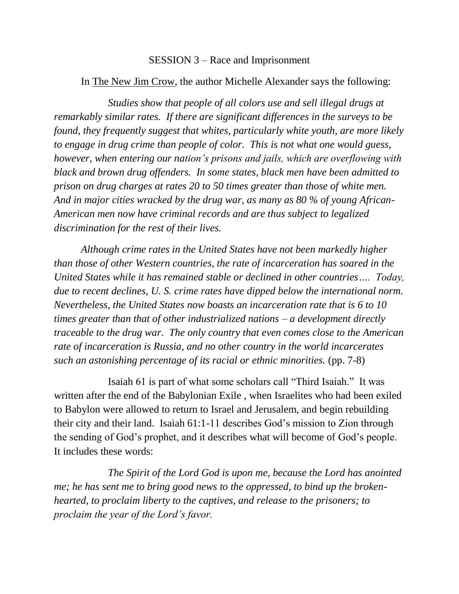#### SESSION 3 – Race and Imprisonment

#### In The New Jim Crow, the author Michelle Alexander says the following:

*Studies show that people of all colors use and sell illegal drugs at remarkably similar rates. If there are significant differences in the surveys to be found, they frequently suggest that whites, particularly white youth, are more likely to engage in drug crime than people of color. This is not what one would guess, however, when entering our nation's prisons and jails, which are overflowing with black and brown drug offenders. In some states, black men have been admitted to prison on drug charges at rates 20 to 50 times greater than those of white men. And in major cities wracked by the drug war, as many as 80 % of young African-American men now have criminal records and are thus subject to legalized discrimination for the rest of their lives.*

*Although crime rates in the United States have not been markedly higher than those of other Western countries, the rate of incarceration has soared in the United States while it has remained stable or declined in other countries…. Today, due to recent declines, U. S. crime rates have dipped below the international norm. Nevertheless, the United States now boasts an incarceration rate that is 6 to 10 times greater than that of other industrialized nations – a development directly traceable to the drug war. The only country that even comes close to the American rate of incarceration is Russia, and no other country in the world incarcerates such an astonishing percentage of its racial or ethnic minorities.* (pp. 7-8)

Isaiah 61 is part of what some scholars call "Third Isaiah." It was written after the end of the Babylonian Exile , when Israelites who had been exiled to Babylon were allowed to return to Israel and Jerusalem, and begin rebuilding their city and their land. Isaiah 61:1-11 describes God's mission to Zion through the sending of God's prophet, and it describes what will become of God's people. It includes these words:

*The Spirit of the Lord God is upon me, because the Lord has anointed me; he has sent me to bring good news to the oppressed, to bind up the brokenhearted, to proclaim liberty to the captives, and release to the prisoners; to proclaim the year of the Lord's favor.*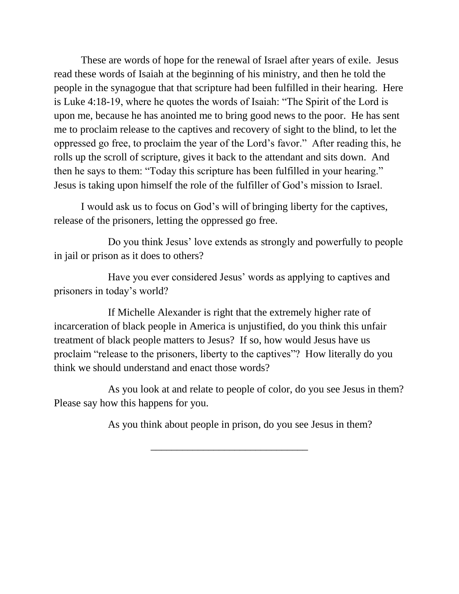These are words of hope for the renewal of Israel after years of exile. Jesus read these words of Isaiah at the beginning of his ministry, and then he told the people in the synagogue that that scripture had been fulfilled in their hearing. Here is Luke 4:18-19, where he quotes the words of Isaiah: "The Spirit of the Lord is upon me, because he has anointed me to bring good news to the poor. He has sent me to proclaim release to the captives and recovery of sight to the blind, to let the oppressed go free, to proclaim the year of the Lord's favor." After reading this, he rolls up the scroll of scripture, gives it back to the attendant and sits down. And then he says to them: "Today this scripture has been fulfilled in your hearing." Jesus is taking upon himself the role of the fulfiller of God's mission to Israel.

I would ask us to focus on God's will of bringing liberty for the captives, release of the prisoners, letting the oppressed go free.

Do you think Jesus' love extends as strongly and powerfully to people in jail or prison as it does to others?

Have you ever considered Jesus' words as applying to captives and prisoners in today's world?

If Michelle Alexander is right that the extremely higher rate of incarceration of black people in America is unjustified, do you think this unfair treatment of black people matters to Jesus? If so, how would Jesus have us proclaim "release to the prisoners, liberty to the captives"? How literally do you think we should understand and enact those words?

As you look at and relate to people of color, do you see Jesus in them? Please say how this happens for you.

\_\_\_\_\_\_\_\_\_\_\_\_\_\_\_\_\_\_\_\_\_\_\_\_\_\_\_\_\_\_

As you think about people in prison, do you see Jesus in them?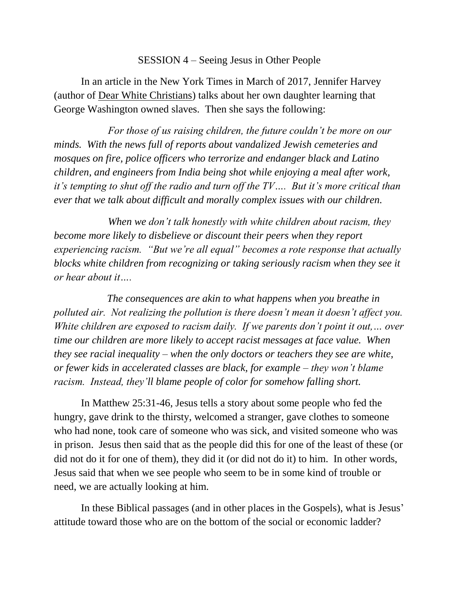### SESSION 4 – Seeing Jesus in Other People

In an article in the New York Times in March of 2017, Jennifer Harvey (author of Dear White Christians) talks about her own daughter learning that George Washington owned slaves. Then she says the following:

*For those of us raising children, the future couldn't be more on our minds. With the news full of reports about vandalized Jewish cemeteries and mosques on fire, police officers who terrorize and endanger black and Latino children, and engineers from India being shot while enjoying a meal after work, it's tempting to shut off the radio and turn off the TV…. But it's more critical than ever that we talk about difficult and morally complex issues with our children.*

*When we don't talk honestly with white children about racism, they become more likely to disbelieve or discount their peers when they report experiencing racism. "But we're all equal" becomes a rote response that actually blocks white children from recognizing or taking seriously racism when they see it or hear about it….* 

 *The consequences are akin to what happens when you breathe in polluted air. Not realizing the pollution is there doesn't mean it doesn't affect you. White children are exposed to racism daily. If we parents don't point it out,… over time our children are more likely to accept racist messages at face value. When they see racial inequality – when the only doctors or teachers they see are white, or fewer kids in accelerated classes are black, for example – they won't blame racism. Instead, they'll blame people of color for somehow falling short.*

In Matthew 25:31-46, Jesus tells a story about some people who fed the hungry, gave drink to the thirsty, welcomed a stranger, gave clothes to someone who had none, took care of someone who was sick, and visited someone who was in prison. Jesus then said that as the people did this for one of the least of these (or did not do it for one of them), they did it (or did not do it) to him. In other words, Jesus said that when we see people who seem to be in some kind of trouble or need, we are actually looking at him.

In these Biblical passages (and in other places in the Gospels), what is Jesus' attitude toward those who are on the bottom of the social or economic ladder?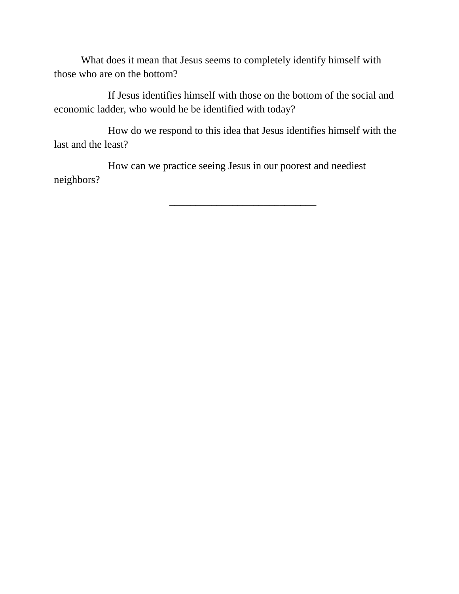What does it mean that Jesus seems to completely identify himself with those who are on the bottom?

If Jesus identifies himself with those on the bottom of the social and economic ladder, who would he be identified with today?

How do we respond to this idea that Jesus identifies himself with the last and the least?

How can we practice seeing Jesus in our poorest and neediest neighbors?

\_\_\_\_\_\_\_\_\_\_\_\_\_\_\_\_\_\_\_\_\_\_\_\_\_\_\_\_